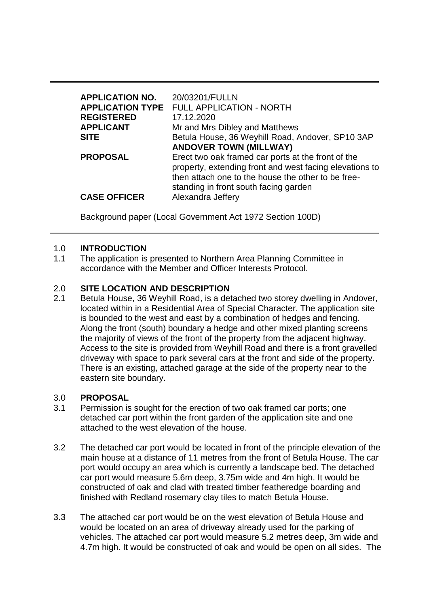| <b>APPLICATION NO.</b><br><b>REGISTERED</b><br><b>APPLICANT</b><br><b>SITE</b> | 20/03201/FULLN<br><b>APPLICATION TYPE FULL APPLICATION - NORTH</b><br>17.12.2020<br>Mr and Mrs Dibley and Matthews<br>Betula House, 36 Weyhill Road, Andover, SP10 3AP                                       |
|--------------------------------------------------------------------------------|--------------------------------------------------------------------------------------------------------------------------------------------------------------------------------------------------------------|
|                                                                                | <b>ANDOVER TOWN (MILLWAY)</b>                                                                                                                                                                                |
| <b>PROPOSAL</b>                                                                | Erect two oak framed car ports at the front of the<br>property, extending front and west facing elevations to<br>then attach one to the house the other to be free-<br>standing in front south facing garden |
| <b>CASE OFFICER</b>                                                            | Alexandra Jeffery                                                                                                                                                                                            |

Background paper (Local Government Act 1972 Section 100D)

### 1.0 **INTRODUCTION**

1.1 The application is presented to Northern Area Planning Committee in accordance with the Member and Officer Interests Protocol.

### 2.0 **SITE LOCATION AND DESCRIPTION**

2.1 Betula House, 36 Weyhill Road, is a detached two storey dwelling in Andover, located within in a Residential Area of Special Character. The application site is bounded to the west and east by a combination of hedges and fencing. Along the front (south) boundary a hedge and other mixed planting screens the majority of views of the front of the property from the adjacent highway. Access to the site is provided from Weyhill Road and there is a front gravelled driveway with space to park several cars at the front and side of the property. There is an existing, attached garage at the side of the property near to the eastern site boundary.

#### 3.0 **PROPOSAL**

- 3.1 Permission is sought for the erection of two oak framed car ports; one detached car port within the front garden of the application site and one attached to the west elevation of the house.
- 3.2 The detached car port would be located in front of the principle elevation of the main house at a distance of 11 metres from the front of Betula House. The car port would occupy an area which is currently a landscape bed. The detached car port would measure 5.6m deep, 3.75m wide and 4m high. It would be constructed of oak and clad with treated timber featheredge boarding and finished with Redland rosemary clay tiles to match Betula House.
- 3.3 The attached car port would be on the west elevation of Betula House and would be located on an area of driveway already used for the parking of vehicles. The attached car port would measure 5.2 metres deep, 3m wide and 4.7m high. It would be constructed of oak and would be open on all sides. The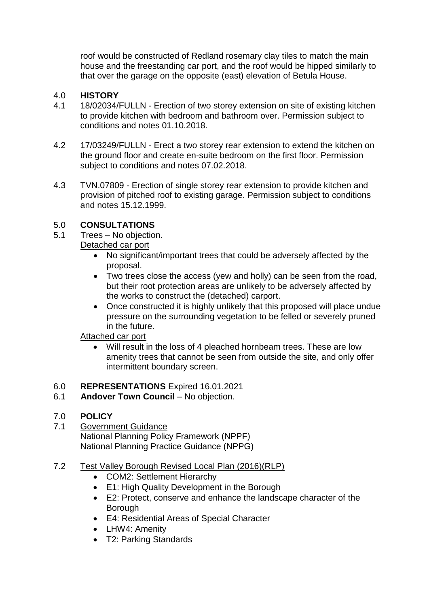roof would be constructed of Redland rosemary clay tiles to match the main house and the freestanding car port, and the roof would be hipped similarly to that over the garage on the opposite (east) elevation of Betula House.

### 4.0 **HISTORY**

- 4.1 18/02034/FULLN Erection of two storey extension on site of existing kitchen to provide kitchen with bedroom and bathroom over. Permission subject to conditions and notes 01.10.2018.
- 4.2 17/03249/FULLN Erect a two storey rear extension to extend the kitchen on the ground floor and create en-suite bedroom on the first floor. Permission subject to conditions and notes 07.02.2018.
- 4.3 TVN.07809 Erection of single storey rear extension to provide kitchen and provision of pitched roof to existing garage. Permission subject to conditions and notes 15.12.1999.

# 5.0 **CONSULTATIONS**

- 5.1 Trees No objection. Detached car port
	- No significant/important trees that could be adversely affected by the proposal.
	- Two trees close the access (yew and holly) can be seen from the road, but their root protection areas are unlikely to be adversely affected by the works to construct the (detached) carport.
	- Once constructed it is highly unlikely that this proposed will place undue pressure on the surrounding vegetation to be felled or severely pruned in the future.

## Attached car port

 Will result in the loss of 4 pleached hornbeam trees. These are low amenity trees that cannot be seen from outside the site, and only offer intermittent boundary screen.

## 6.0 **REPRESENTATIONS** Expired 16.01.2021

6.1 **Andover Town Council** – No objection.

# 7.0 **POLICY**

7.1 Government Guidance National Planning Policy Framework (NPPF) National Planning Practice Guidance (NPPG)

## 7.2 Test Valley Borough Revised Local Plan (2016)(RLP)

- COM2: Settlement Hierarchy
- E1: High Quality Development in the Borough
- E2: Protect, conserve and enhance the landscape character of the Borough
- E4: Residential Areas of Special Character
- LHW4: Amenity
- T2: Parking Standards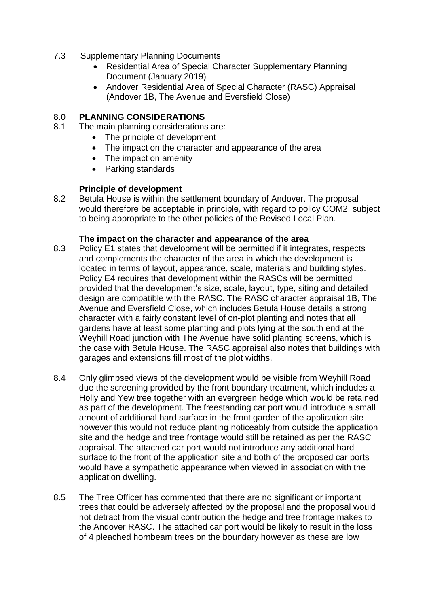### 7.3 Supplementary Planning Documents

- Residential Area of Special Character Supplementary Planning Document (January 2019)
- Andover Residential Area of Special Character (RASC) Appraisal (Andover 1B, The Avenue and Eversfield Close)

### 8.0 **PLANNING CONSIDERATIONS**

- 8.1 The main planning considerations are:
	- The principle of development
	- The impact on the character and appearance of the area
	- The impact on amenity
	- Parking standards

### **Principle of development**

8.2 Betula House is within the settlement boundary of Andover. The proposal would therefore be acceptable in principle, with regard to policy COM2, subject to being appropriate to the other policies of the Revised Local Plan.

#### **The impact on the character and appearance of the area**

- 8.3 Policy E1 states that development will be permitted if it integrates, respects and complements the character of the area in which the development is located in terms of layout, appearance, scale, materials and building styles. Policy E4 requires that development within the RASCs will be permitted provided that the development's size, scale, layout, type, siting and detailed design are compatible with the RASC. The RASC character appraisal 1B, The Avenue and Eversfield Close, which includes Betula House details a strong character with a fairly constant level of on-plot planting and notes that all gardens have at least some planting and plots lying at the south end at the Weyhill Road junction with The Avenue have solid planting screens, which is the case with Betula House. The RASC appraisal also notes that buildings with garages and extensions fill most of the plot widths.
- 8.4 Only glimpsed views of the development would be visible from Weyhill Road due the screening provided by the front boundary treatment, which includes a Holly and Yew tree together with an evergreen hedge which would be retained as part of the development. The freestanding car port would introduce a small amount of additional hard surface in the front garden of the application site however this would not reduce planting noticeably from outside the application site and the hedge and tree frontage would still be retained as per the RASC appraisal. The attached car port would not introduce any additional hard surface to the front of the application site and both of the proposed car ports would have a sympathetic appearance when viewed in association with the application dwelling.
- 8.5 The Tree Officer has commented that there are no significant or important trees that could be adversely affected by the proposal and the proposal would not detract from the visual contribution the hedge and tree frontage makes to the Andover RASC. The attached car port would be likely to result in the loss of 4 pleached hornbeam trees on the boundary however as these are low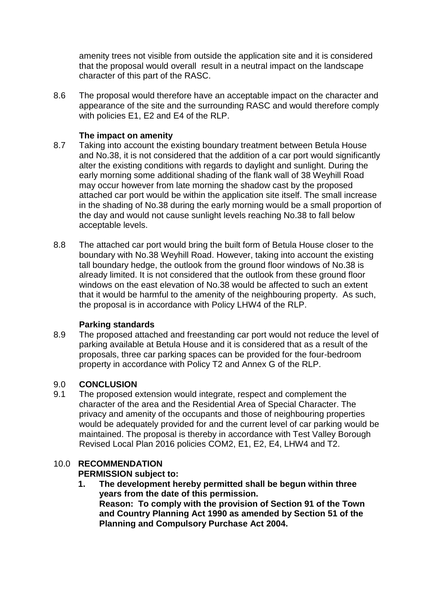amenity trees not visible from outside the application site and it is considered that the proposal would overall result in a neutral impact on the landscape character of this part of the RASC.

8.6 The proposal would therefore have an acceptable impact on the character and appearance of the site and the surrounding RASC and would therefore comply with policies E1, E2 and E4 of the RLP.

# **The impact on amenity**

- 8.7 Taking into account the existing boundary treatment between Betula House and No.38, it is not considered that the addition of a car port would significantly alter the existing conditions with regards to daylight and sunlight. During the early morning some additional shading of the flank wall of 38 Weyhill Road may occur however from late morning the shadow cast by the proposed attached car port would be within the application site itself. The small increase in the shading of No.38 during the early morning would be a small proportion of the day and would not cause sunlight levels reaching No.38 to fall below acceptable levels.
- 8.8 The attached car port would bring the built form of Betula House closer to the boundary with No.38 Weyhill Road. However, taking into account the existing tall boundary hedge, the outlook from the ground floor windows of No.38 is already limited. It is not considered that the outlook from these ground floor windows on the east elevation of No.38 would be affected to such an extent that it would be harmful to the amenity of the neighbouring property. As such, the proposal is in accordance with Policy LHW4 of the RLP.

## **Parking standards**

8.9 The proposed attached and freestanding car port would not reduce the level of parking available at Betula House and it is considered that as a result of the proposals, three car parking spaces can be provided for the four-bedroom property in accordance with Policy T2 and Annex G of the RLP.

# 9.0 **CONCLUSION**

9.1 The proposed extension would integrate, respect and complement the character of the area and the Residential Area of Special Character. The privacy and amenity of the occupants and those of neighbouring properties would be adequately provided for and the current level of car parking would be maintained. The proposal is thereby in accordance with Test Valley Borough Revised Local Plan 2016 policies COM2, E1, E2, E4, LHW4 and T2.

# 10.0 **RECOMMENDATION**

# **PERMISSION subject to:**

**1. The development hereby permitted shall be begun within three years from the date of this permission. Reason: To comply with the provision of Section 91 of the Town and Country Planning Act 1990 as amended by Section 51 of the Planning and Compulsory Purchase Act 2004.**